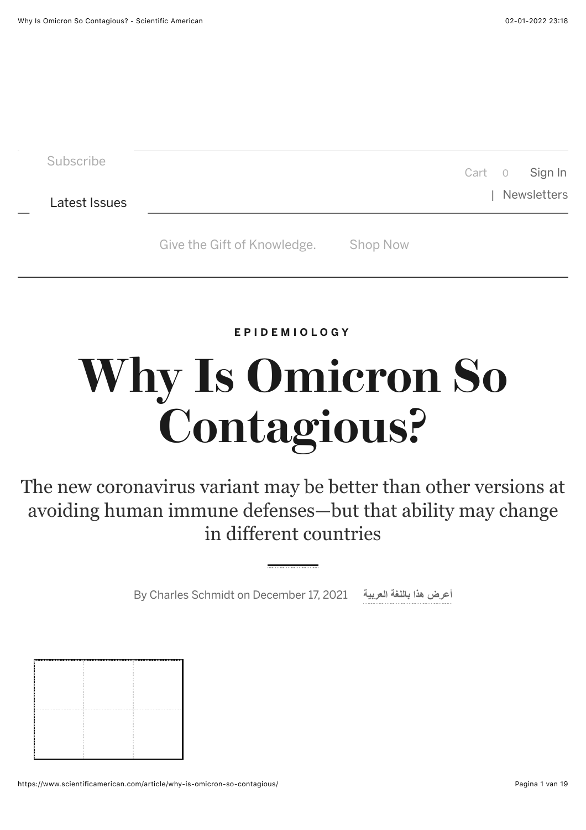**[EPIDEMIOLOGY](https://www.scientificamerican.com/epidemiology/)**

## **Why Is Omicron So Contagious?**

The new coronavirus variant may be better than other versions at avoiding human immune defenses—but that ability may change in different countries

By [Charles Schmidt](https://www.scientificamerican.com/author/charles-schmidt/) on December 17, 2021 **العربیة باللغة ھذا [أعرض](https://www.scientificamerican.com/arabic/articles/features/why-is-omicron-so-contagious/)**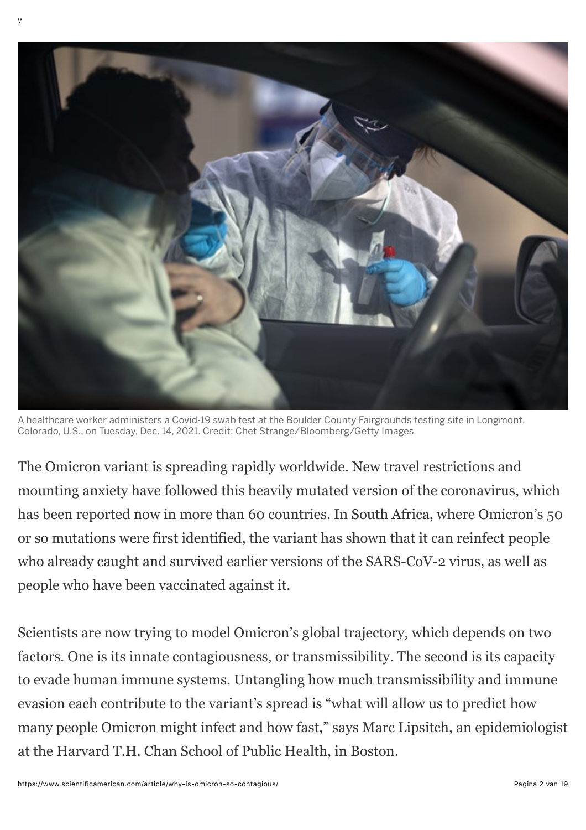

A healthcare worker administers a Covid-19 swab test at the Boulder County Fairgrounds testing site in Longmont, Colorado, U.S., on Tuesday, Dec. 14, 2021. Credit: [Chet Strange/Bloomberg/Getty Images](https://www.gettyimages.com/detail/news-photo/healthcare-worker-administers-a-covid-19-swab-test-at-the-news-photo/1237230889?adppopup=true)

The Omicron variant is spreading rapidly worldwide. New travel restrictions and mounting anxiety have followed this heavily mutated version of the coronavirus, which has been reported now in more than 60 countries. In South Africa, where Omicron's 50 or so mutations were first identified, the variant has shown that it can reinfect people who already caught and survived earlier versions of the SARS-CoV-2 virus, as well as people who have been vaccinated against it.

Scientists are now trying to model Omicron's global trajectory, which depends on two factors. One is its innate contagiousness, or transmissibility. The second is its capacity to evade human immune systems. Untangling how much transmissibility and immune evasion each contribute to the variant's spread is "what will allow us to predict how many people Omicron might infect and how fast," says Marc Lipsitch, an epidemiologist at the Harvard T.H. Chan School of Public Health, in Boston.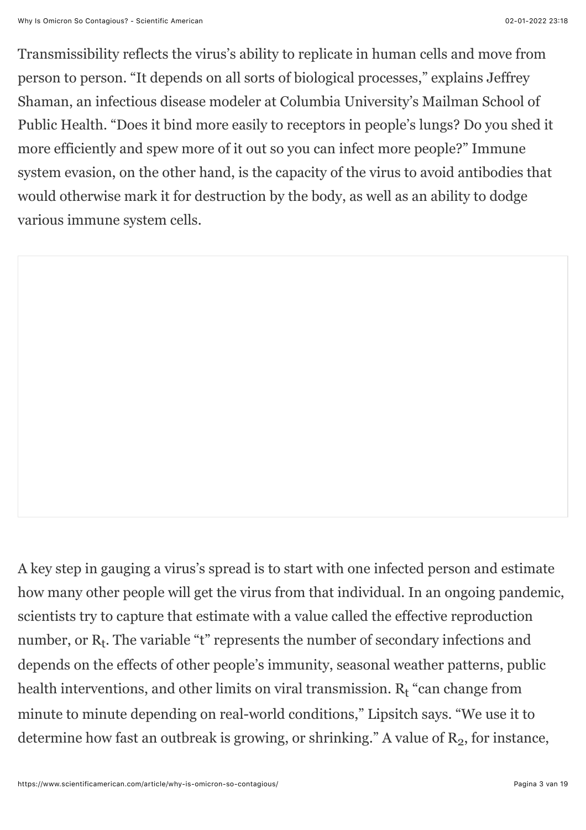Transmissibility reflects the virus's ability to replicate in human cells and move from person to person. "It depends on all sorts of biological processes," explains Jeffrey Shaman, an infectious disease modeler at Columbia University's Mailman School of Public Health. "Does it bind more easily to receptors in people's lungs? Do you shed it more efficiently and spew more of it out so you can infect more people?" Immune system evasion, on the other hand, is the capacity of the virus to avoid antibodies that would otherwise mark it for destruction by the body, as well as an ability to dodge various immune system cells.

A key step in gauging a virus's spread is to start with one infected person and estimate how many other people will get the virus from that individual. In an ongoing pandemic, scientists try to capture that estimate with a value called the effective reproduction number, or  $R_t$ . The variable "t" represents the number of secondary infections and depends on the effects of other people's immunity, seasonal weather patterns, public health interventions, and other limits on viral transmission.  $R_t$  "can change from minute to minute depending on real-world conditions," Lipsitch says. "We use it to determine how fast an outbreak is growing, or shrinking." A value of  $R<sub>2</sub>$ , for instance,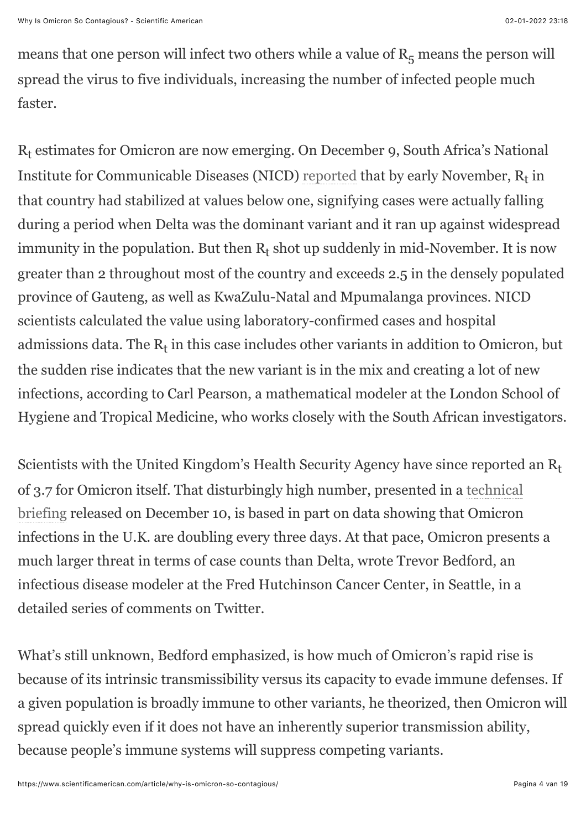means that one person will infect two others while a value of  $R_5$  means the person will spread the virus to five individuals, increasing the number of infected people much faster.

R<sub>t</sub> estimates for Omicron are now emerging. On December 9, South Africa's National Institute for Communicable Diseases (NICD) [reported](https://www.nicd.ac.za/wp-content/uploads/2021/12/The-Daily-COVID-19-Effective-Reproductive-Number-R-in-the-public-sector-of-South-Africa-week-48-of-2021.pdf) that by early November,  $R_t$  in that country had stabilized at values below one, signifying cases were actually falling during a period when Delta was the dominant variant and it ran up against widespread immunity in the population. But then  $R_t$  shot up suddenly in mid-November. It is now greater than 2 throughout most of the country and exceeds 2.5 in the densely populated province of Gauteng, as well as KwaZulu-Natal and Mpumalanga provinces. NICD scientists calculated the value using laboratory-confirmed cases and hospital admissions data. The  $R_t$  in this case includes other variants in addition to Omicron, but the sudden rise indicates that the new variant is in the mix and creating a lot of new infections, according to Carl Pearson, a mathematical modeler at the London School of Hygiene and Tropical Medicine, who works closely with the South African investigators.

Scientists with the United Kingdom's Health Security Agency have since reported an  $R_t$ [of 3.7 for Omicron itself. That disturbingly high number, presented in a technical](https://www.gov.uk/government/publications/investigation-of-sars-cov-2-variants-technical-briefings) briefing released on December 10, is based in part on data showing that Omicron infections in the U.K. are doubling every three days. At that pace, Omicron presents a much larger threat in terms of case counts than Delta, wrote Trevor Bedford, an infectious disease modeler at the Fred Hutchinson Cancer Center, in Seattle, in a detailed series of comments on Twitter.

What's still unknown, Bedford emphasized, is how much of Omicron's rapid rise is because of its intrinsic transmissibility versus its capacity to evade immune defenses. If a given population is broadly immune to other variants, he theorized, then Omicron will spread quickly even if it does not have an inherently superior transmission ability, because people's immune systems will suppress competing variants.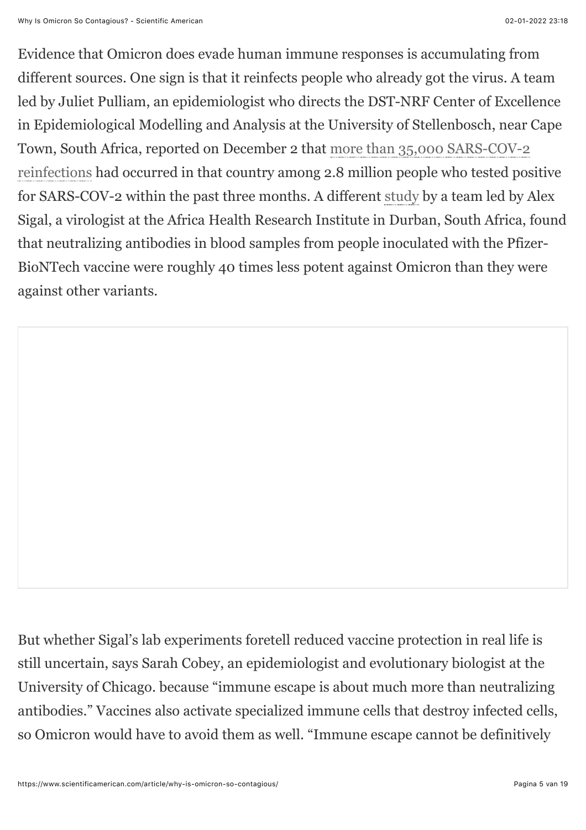Evidence that Omicron does evade human immune responses is accumulating from different sources. One sign is that it reinfects people who already got the virus. A team led by Juliet Pulliam, an epidemiologist who directs the DST-NRF Center of Excellence in Epidemiological Modelling and Analysis at the University of Stellenbosch, near Cape [Town, South Africa, reported on December 2 that more than 35,000 SARS-COV-2](https://www.medrxiv.org/content/10.1101/2021.11.11.21266068v2) reinfections had occurred in that country among 2.8 million people who tested positive for SARS-COV-2 within the past three months. A different [study](https://www.ahri.org/wp-content/uploads/2021/12/MEDRXIV-2021-267417v1-Sigal.pdf) by a team led by Alex Sigal, a virologist at the Africa Health Research Institute in Durban, South Africa, found that neutralizing antibodies in blood samples from people inoculated with the Pfizer-BioNTech vaccine were roughly 40 times less potent against Omicron than they were against other variants.

But whether Sigal's lab experiments foretell reduced vaccine protection in real life is still uncertain, says Sarah Cobey, an epidemiologist and evolutionary biologist at the University of Chicago. because "immune escape is about much more than neutralizing antibodies." Vaccines also activate specialized immune cells that destroy infected cells, so Omicron would have to avoid them as well. "Immune escape cannot be definitively